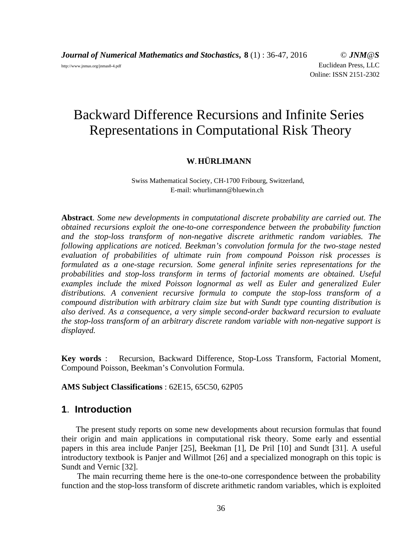*Journal of Numerical Mathematics and Stochastics***, 8** (1) : 36-47, 2016 © *JNM@S* http://www.jnmas.org/jnmas8-4.pdf Euclidean Press, LLC Online: ISSN 2151-2302

# Backward Difference Recursions and Infinite Series Representations in Computational Risk Theory

## **W**.**HÜRLIMANN**

Swiss Mathematical Society, CH-1700 Fribourg, Switzerland, E-mail: whurlimann@bluewin.ch

**Abstract**. *Some new developments in computational discrete probability are carried out. The obtained recursions exploit the one-to-one correspondence between the probability function and the stop-loss transform of non-negative discrete arithmetic random variables. The following applications are noticed. Beekman's convolution formula for the two-stage nested evaluation of probabilities of ultimate ruin from compound Poisson risk processes is formulated as a one-stage recursion. Some general infinite series representations for the probabilities and stop-loss transform in terms of factorial moments are obtained. Useful examples include the mixed Poisson lognormal as well as Euler and generalized Euler distributions. A convenient recursive formula to compute the stop-loss transform of a compound distribution with arbitrary claim size but with Sundt type counting distribution is also derived. As a consequence, a very simple second-order backward recursion to evaluate the stop-loss transform of an arbitrary discrete random variable with non-negative support is displayed.*

**Key words** : Recursion, Backward Difference, Stop-Loss Transform, Factorial Moment, Compound Poisson, Beekman's Convolution Formula.

**AMS Subject Classifications** : 62E15, 65C50, 62P05

# **1**. **Introduction**

The present study reports on some new developments about recursion formulas that found their origin and main applications in computational risk theory. Some early and essential papers in this area include Panjer [25], Beekman [1], De Pril [10] and Sundt [31]. A useful introductory textbook is Panjer and Willmot [26] and a specialized monograph on this topic is Sundt and Vernic [32].

The main recurring theme here is the one-to-one correspondence between the probability function and the stop-loss transform of discrete arithmetic random variables, which is exploited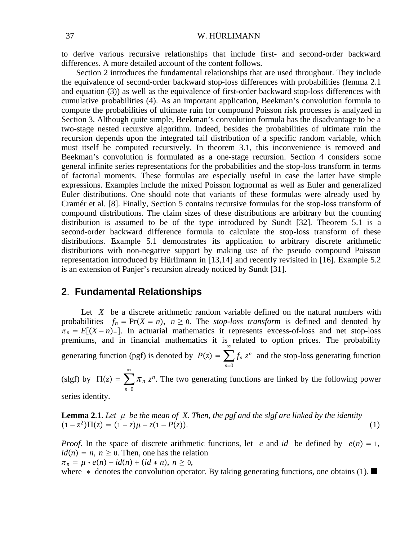to derive various recursive relationships that include first- and second-order backward differences. A more detailed account of the content follows.

Section 2 introduces the fundamental relationships that are used throughout. They include the equivalence of second-order backward stop-loss differences with probabilities (lemma 2.1 and equation (3)) as well as the equivalence of first-order backward stop-loss differences with cumulative probabilities (4). As an important application, Beekman's convolution formula to compute the probabilities of ultimate ruin for compound Poisson risk processes is analyzed in Section 3. Although quite simple, Beekman's convolution formula has the disadvantage to be a two-stage nested recursive algorithm. Indeed, besides the probabilities of ultimate ruin the recursion depends upon the integrated tail distribution of a specific random variable, which must itself be computed recursively. In theorem 3.1, this inconvenience is removed and Beekman's convolution is formulated as a one-stage recursion. Section 4 considers some general infinite series representations for the probabilities and the stop-loss transform in terms of factorial moments. These formulas are especially useful in case the latter have simple expressions. Examples include the mixed Poisson lognormal as well as Euler and generalized Euler distributions. One should note that variants of these formulas were already used by Cramér et al. [8]. Finally, Section 5 contains recursive formulas for the stop-loss transform of compound distributions. The claim sizes of these distributions are arbitrary but the counting distribution is assumed to be of the type introduced by Sundt [32]. Theorem 5.1 is a second-order backward difference formula to calculate the stop-loss transform of these distributions. Example 5.1 demonstrates its application to arbitrary discrete arithmetic distributions with non-negative support by making use of the pseudo compound Poisson representation introduced by Hürlimann in [13,14] and recently revisited in [16]. Example 5.2 is an extension of Panjer's recursion already noticed by Sundt [31].

# **2**. **Fundamental Relationships**

*n*=0

Let *X* be a discrete arithmetic random variable defined on the natural numbers with probabilities  $f_n = Pr(X = n)$ ,  $n \ge 0$ . The *stop-loss transform* is defined and denoted by  $\pi_n = E[(X - n)_+]$ . In actuarial mathematics it represents excess-of-loss and net stop-loss premiums, and in financial mathematics it is related to option prices. The probability generating function (pgf) is denoted by  $P(z) = \sum$ *n*=0  $\infty$  $f_n z^n$  and the stop-loss generating function (slgf) by  $\Pi(z) = \sum$  $\infty$  $\pi_n$   $z^n$ . The two generating functions are linked by the following power

series identity.

**Lemma 2**.**1**. *Let be the mean of X. Then, the pgf and the slgf are linked by the identity*  $(1 - z^2)\Pi(z) = (1 - z)\mu - z(1 - P(z)).$  (1)

*Proof.* In the space of discrete arithmetic functions, let *e* and *id* be defined by  $e(n) = 1$ ,  $id(n) = n, n \ge 0$ . Then, one has the relation  $\pi_n = \mu \cdot e(n) - id(n) + (id * n), n \geq 0,$ 

where  $*$  denotes the convolution operator. By taking generating functions, one obtains (1).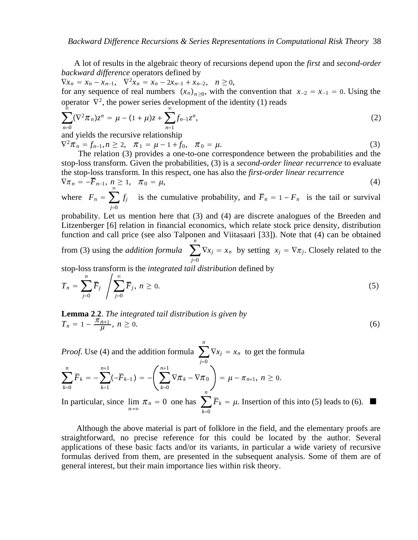A lot of results in the algebraic theory of recursions depend upon the *first* and *second-order backward difference* operators defined by

 $\nabla x_n = x_n - x_{n-1}, \quad \nabla^2 x_n = x_n - 2x_{n-1} + x_{n-2}, \quad n \ge 0,$ for any sequence of real numbers  $(x_n)_{n\geq 0}$ , with the convention that  $x_{-2} = x_{-1} = 0$ . Using the operator  $\nabla^2$ , the power series development of the identity (1) reads

$$
\sum_{n=0}^{\infty} (\nabla^2 \pi_n) z^n = \mu - (1 + \mu) z + \sum_{n=1}^{\infty} f_{n-1} z^n,
$$
\n(2)

and yields the recursive relationship

 $\nabla^2 \pi_n = f_{n-1}, n \ge 2, \quad \pi_1 = \mu - 1 + f_0, \quad \pi_0 = \mu.$ (3)

The relation (3) provides a one-to-one correspondence between the probabilities and the stop-loss transform. Given the probabilities, (3) is a *second-order linear recurrence* to evaluate the stop-loss transform. In this respect, one has also the *first-order linear recurrence*

$$
\nabla \pi_n = -\overline{F}_{n-1}, \, n \ge 1, \quad \pi_0 = \mu,\tag{4}
$$

where  $F_n = \sum$ *j*=0 *f<sub>j</sub>* is the cumulative probability, and  $\overline{F}_n = 1 - F_n$  is the tail or survival

probability. Let us mention here that (3) and (4) are discrete analogues of the Breeden and Litzenberger [6] relation in financial economics, which relate stock price density, distribution function and call price (see also Talponen and Viitasaari [33]). Note that (4) can be obtained *n*

from (3) using the *addition formula* ∑ *j*=0  $\nabla x_j = x_n$  by setting  $x_j = \nabla \pi_j$ . Closely related to the

stop-loss transform is the *integrated tail distribution* defined by

$$
T_n = \sum_{j=0}^n \overline{F}_j \, \sqrt{\sum_{j=0}^\infty \overline{F}_j}, \, n \ge 0. \tag{5}
$$

**Lemma 2**.**2**. *The integrated tail distribution is given by*  $T_n = 1 - \frac{\pi_{n+1}}{\mu}, n \ge 0.$  (6)

*Proof.* Use (4) and the addition formula ∑ *j*=0 *n*  $\nabla x_j = x_n$  to get the formula

$$
\sum_{k=0}^n \overline{F}_k = -\sum_{k=1}^{n+1} (-\overline{F}_{k-1}) = -\left(\sum_{k=0}^{n+1} \nabla \pi_k - \nabla \pi_0\right) = \mu - \pi_{n+1}, \ n \geq 0.
$$

In particular, since  $\lim_{n \to \infty} \pi_n = 0$  one has  $\sum_{k=0}$  $k=0$  $\overline{F}_k = \mu$ . Insertion of this into (5) leads to (6).

Although the above material is part of folklore in the field, and the elementary proofs are straightforward, no precise reference for this could be located by the author. Several applications of these basic facts and/or its variants, in particular a wide variety of recursive formulas derived from them, are presented in the subsequent analysis. Some of them are of general interest, but their main importance lies within risk theory.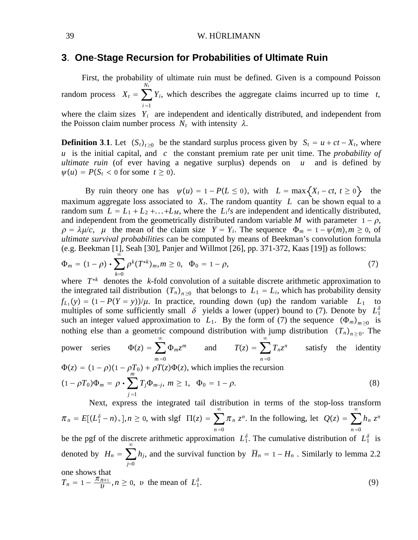#### 39 W. HÜRLIMANN

# **3**. **One**-**Stage Recursion for Probabilities of Ultimate Ruin**

First, the probability of ultimate ruin must be defined. Given is a compound Poisson random process  $X_t = \sum$  $i = 1$ *Nt Yi*, which describes the aggregate claims incurred up to time *t*, where the claim sizes  $Y_i$  are independent and identically distributed, and independent from the Poisson claim number process  $N_t$  with intensity  $\lambda$ .

**Definition 3.1.** Let  $(S_t)_{t\geq0}$  be the standard surplus process given by  $S_t = u + ct - X_t$ , where *u* is the initial capital, and *c* the constant premium rate per unit time. The *probability of ultimate ruin* (of ever having a negative surplus) depends on *u* and is defined by  $\psi(u) = P(S_t < 0 \text{ for some } t \geq 0).$ 

By ruin theory one has  $\psi(u) = 1 - P(L \le 0)$ , with  $L = \max\{X_t - ct, t \ge 0\}$  the maximum aggregate loss associated to  $X_t$ . The random quantity  $L$  can be shown equal to a random sum  $L = L_1 + L_2 + \ldots + L_M$ , where the  $L_i/s$  are independent and identically distributed, and independent from the geometrically distributed random variable M with parameter  $1 - \rho$ ,  $\rho = \lambda \mu/c$ ,  $\mu$  the mean of the claim size  $Y = Y_i$ . The sequence  $\Phi_m = 1 - \psi(m), m \ge 0$ , of *ultimate survival probabilities* can be computed by means of Beekman's convolution formula (e.g. Beekman [1], Seah [30], Panjer and Willmot [26], pp. 371-372, Kaas [19]) as follows:

$$
\Phi_m = (1 - \rho) \cdot \sum_{k=0}^{\infty} \rho^k (T^{*k})_m, m \ge 0, \quad \Phi_0 = 1 - \rho,
$$
\n(7)

where *T*<sup>∗</sup>*<sup>k</sup>* denotes the *k*-fold convolution of a suitable discrete arithmetic approximation to the integrated tail distribution  $(T_n)_{n>0}$  that belongs to  $L_1 = L_i$ , which has probability density  $f_{L_1}(y) = (1 - P(Y = y))/\mu$ . In practice, rounding down (up) the random variable  $L_1$  to multiples of some sufficiently small  $\delta$  yields a lower (upper) bound to (7). Denote by  $L_1^{\delta}$ such an integer valued approximation to *L*<sub>1</sub>. By the form of (7) the sequence  $(\Phi_m)_{m>0}$  is nothing else than a geometric compound distribution with jump distribution  $(T_n)_{n>0}$ . The

power series  $\Phi(z) = \sum$  $m = 0$  $\infty$  $\Phi_m z^m$  and  $T(z) = \sum$  $n = 0$  $\infty$  $T_n z^n$  satisfy the identity

$$
\Phi(z) = (1 - \rho)(1 - \rho T_0) + \rho T(z)\Phi(z), \text{ which implies the recursion}
$$
  
\n
$$
(1 - \rho T_0)\Phi_m = \rho \cdot \sum_{j=1}^m T_j \Phi_{m-j}, \ m \ge 1, \ \ \Phi_0 = 1 - \rho.
$$
 (8)

Next, express the integrated tail distribution in terms of the stop-loss transform  $\pi_n = E[(L_1^{\delta} - n)_+]$ ,  $n \ge 0$ , with slgf  $\Pi(z) = \sum$  $n = 0$  $\infty$  $\pi_n z^n$ . In the following, let  $Q(z) = \sum$  $n = 0$  $\infty$ *hn zn* be the pgf of the discrete arithmetic approximation  $L_1^{\delta}$ . The cumulative distribution of  $L_1^{\delta}$  is denoted by  $H_n = \sum$ *j*=0  $\infty$ *h<sub>j</sub>*, and the survival function by  $\overline{H}_n = 1 - H_n$ . Similarly to lemma 2.2 one shows that  $T_n = 1 - \frac{\pi_{n+1}}{v}, n \ge 0, v$  the mean of  $L_1^{\delta}$  $\delta$ . (9)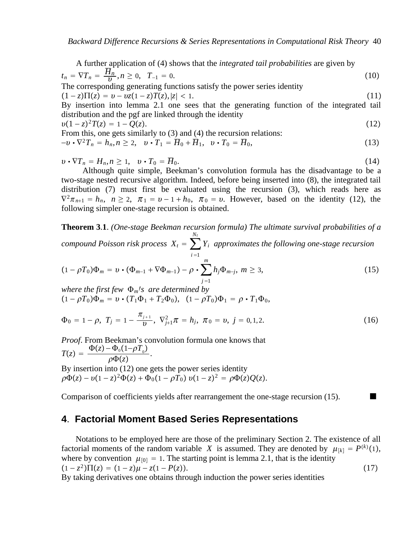A further application of (4) shows that the *integrated tail probabilities* are given by  $t_n = \nabla T_n = \frac{\overline{H}_n}{v}, n \ge 0, \quad T_{-1} = 0.$  (10) The corresponding generating functions satisfy the power series identity  $(1 - z)\Pi(z) = v - vz(1 - z)T(z), |z| < 1.$  (11) By insertion into lemma 2.1 one sees that the generating function of the integrated tail distribution and the pgf are linked through the identity  $v(1-z)^2T(z) = 1 - Q(z).$  (12) From this, one gets similarly to (3) and (4) the recursion relations:  $-v \cdot \nabla^2 T_n = h_n, n \ge 2, \quad v \cdot T_1 = \overline{H}_0 + \overline{H}_1, \quad v \cdot T_0 = \overline{H}_0,$ (13)

 $v \cdot \nabla T_n = H_n, n \ge 1, \quad v \cdot T_0 = \overline{H}_0.$  (14)

Although quite simple, Beekman's convolution formula has the disadvantage to be a two-stage nested recursive algorithm. Indeed, before being inserted into (8), the integrated tail distribution (7) must first be evaluated using the recursion (3), which reads here as  $\nabla^2 \pi_{n+1} = h_n$ ,  $n \ge 2$ ,  $\pi_1 = v - 1 + h_0$ ,  $\pi_0 = v$ . However, based on the identity (12), the following simpler one-stage recursion is obtained.

**Theorem 3**.**1**. *(One-stage Beekman recursion formula) The ultimate survival probabilities of a Nt*

*compound Poisson risk process*  $X_t = \sum$  $i = 1$ *Yi approximates the following one-stage recursion m*

$$
(1-\rho T_0)\Phi_m=\boldsymbol{v}\boldsymbol{\cdot}(\Phi_{m-1}+\nabla\Phi_{m-1})-\rho\boldsymbol{\cdot}\sum_{j=1}^m h_j\Phi_{m-j},\ m\geq 3,
$$
\n(15)

*where the first few*  $\Phi_m$ *'s are determined by*  $(1 - \rho T_0)\Phi_m = v \cdot (T_1 \Phi_1 + T_2 \Phi_0), (1 - \rho T_0)\Phi_1 = \rho \cdot T_1 \Phi_0,$ 

$$
\Phi_0 = 1 - \rho, \ T_j = 1 - \frac{\pi_{j+1}}{v}, \ \nabla_{j+1}^2 \pi = h_j, \ \pi_0 = v, \ j = 0, 1, 2. \tag{16}
$$

*Proof*. From Beekman's convolution formula one knows that  $T(z) = \frac{\Phi(z) - \Phi_0(1 - \rho T_0)}{\rho \Phi(z)}.$ By insertion into (12) one gets the power series identity  $\overline{\rho\Phi}(z) - \nu(1-z)^2\overline{\Phi}(z) + \overline{\Phi_0}(1-\rho\overline{T_0})\nu(1-z)^2 = \rho\Phi(z)Q(z).$ 

Comparison of coefficients yields after rearrangement the one-stage recursion (15).

# **4**. **Factorial Moment Based Series Representations**

Notations to be employed here are those of the preliminary Section 2. The existence of all factorial moments of the random variable *X* is assumed. They are denoted by  $\mu_{[k]} = P^{(k)}(1)$ , where by convention  $\mu_{[0]} = 1$ . The starting point is lemma 2.1, that is the identity  $(1 - z^2)\Pi(z) = (1 - z)\mu - z(1 - P(z)).$  (17) By taking derivatives one obtains through induction the power series identities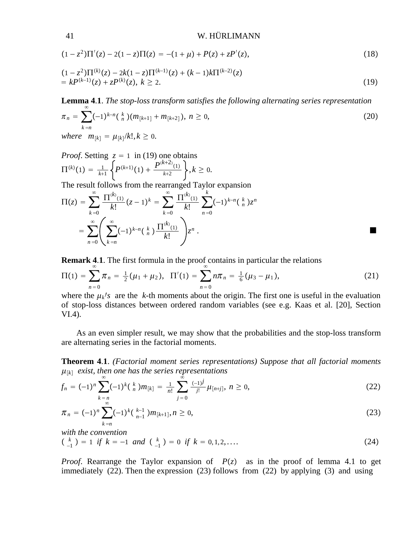41 W. HÜRLIMANN

$$
(1 - z2)\Pi'(z) - 2(1 - z)\Pi(z) = -(1 + \mu) + P(z) + zP'(z),
$$
\n(18)

$$
(1-z2)\Pi(k)(z) - 2k(1-z)\Pi(k-1)(z) + (k-1)k\Pi(k-2)(z)
$$
  
=  $kP(k-1)(z) + zP(k)(z), k \ge 2.$  (19)

**Lemma 4**.**1**. *The stop-loss transform satisfies the following alternating series representation*  $\pi_n = \sum$  $k = n$  $\infty$  $(-1)^{k-n} {k \choose n} (m_{k+1} + m_{k+2}), \ n \ge 0,$ (20) *where*  $m_{[k]} = \mu_{[k]} / k! , k \ge 0.$ 

*Proof.* Setting 
$$
z = 1
$$
 in (19) one obtains  
\n
$$
\Pi^{(k)}(1) = \frac{1}{k+1} \left\{ P^{(k+1)}(1) + \frac{P^{(k+2)}(1)}{k+2} \right\}, k \ge 0.
$$

The result follows from the rearranged Taylor expansion

$$
\Pi(z) = \sum_{k=0}^{\infty} \frac{\Pi^{(k)}(1)}{k!} (z-1)^k = \sum_{k=0}^{\infty} \frac{\Pi^{(k)}(1)}{k!} \sum_{n=0}^{k} (-1)^{k-n} {k \choose n} z^n
$$

$$
= \sum_{n=0}^{\infty} \left( \sum_{k=n}^{\infty} (-1)^{k-n} {k \choose n} \frac{\Pi^{(k)}(1)}{k!} \right) z^n.
$$

**Remark 4.1**. The first formula in the proof contains in particular the relations

$$
\Pi(1) = \sum_{n=0}^{\infty} \pi_n = \frac{1}{2} (\mu_1 + \mu_2), \quad \Pi'(1) = \sum_{n=0}^{\infty} n \pi_n = \frac{1}{6} (\mu_3 - \mu_1), \tag{21}
$$

where the  $\mu_k$ /*s* are the *k*-th moments about the origin. The first one is useful in the evaluation of stop-loss distances between ordered random variables (see e.g. Kaas et al. [20], Section VI.4).

As an even simpler result, we may show that the probabilities and the stop-loss transform are alternating series in the factorial moments.

**Theorem 4**.**1**. *(Factorial moment series representations) Suppose that all factorial moments*  $\mu_{[k]}$  *exist, then one has the series representations* 

$$
f_n = (-1)^n \sum_{\substack{k=n \ \infty}}^{\infty} (-1)^k {k \choose n} m_{[k]} = \frac{1}{n!} \sum_{j=0}^{\infty} \frac{(-1)^j}{j!} \mu_{[n+j]}, \ n \ge 0,
$$
 (22)

$$
\pi_n = (-1)^n \sum_{k=n}^{\infty} (-1)^k \left( \begin{array}{c} k-1 \\ n-1 \end{array} \right) m_{[k+1]}, n \ge 0,
$$
\n(23)

*with the convention*

$$
\binom{k}{-1} = 1 \text{ if } k = -1 \text{ and } \binom{k}{-1} = 0 \text{ if } k = 0, 1, 2, \dots \tag{24}
$$

*Proof.* Rearrange the Taylor expansion of  $P(z)$  as in the proof of lemma 4.1 to get immediately (22). Then the expression (23) follows from (22) by applying (3) and using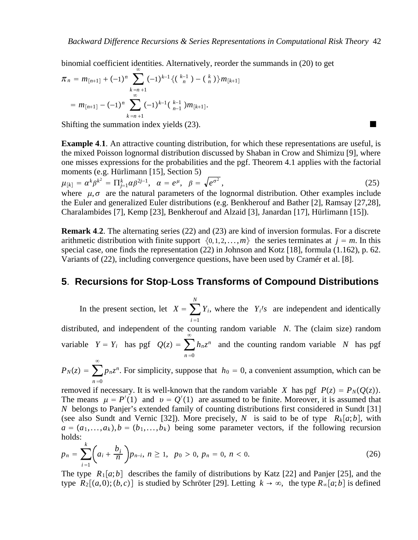binomial coefficient identities. Alternatively, reorder the summands in (20) to get

$$
\pi_n = m_{[n+1]} + (-1)^n \sum_{\substack{k=n+1 \ \infty}} (-1)^{k-1} \{ (\begin{array}{c} k-1 \ n \end{array}) - (\begin{array}{c} k \ n \end{array}) \} m_{[k+1]}
$$
  
=  $m_{[n+1]} - (-1)^n \sum_{k=n+1}^{\infty} (-1)^{k-1} (\begin{array}{c} k-1 \ n-1 \end{array}) m_{[k+1]}.$ 

Shifting the summation index yields (23).

**Example 4.1.** An attractive counting distribution, for which these representations are useful, is the mixed Poisson lognormal distribution discussed by Shaban in Crow and Shimizu [9], where one misses expressions for the probabilities and the pgf. Theorem 4.1 applies with the factorial moments (e.g. Hürlimann [15], Section 5)

 $\mu_{[k]} = \alpha^k\beta^{k^2} = \prod_{j=1}^k \alpha\beta^{2j-1}, \;\; \alpha = e^\mu, \;\; \beta = \sqrt{e^{\sigma^2}}$  $,$  (25) where  $\mu$ ,  $\sigma$  are the natural parameters of the lognormal distribution. Other examples include the Euler and generalized Euler distributions (e.g. Benkherouf and Bather [2], Ramsay [27,28], Charalambides [7], Kemp [23], Benkherouf and Alzaid [3], Janardan [17], Hürlimann [15]).

**Remark 4**.**2**. The alternating series (22) and (23) are kind of inversion formulas. For a discrete arithmetic distribution with finite support  $\{0, 1, 2, \ldots, m\}$  the series terminates at  $j = m$ . In this special case, one finds the representation (22) in Johnson and Kotz [18], formula (1.162), p. 62. Variants of (22), including convergence questions, have been used by Cramér et al. [8].

### **5**. **Recursions for Stop**-**Loss Transforms of Compound Distributions**

In the present section, let  $X = \sum$  $i = 1$ *N*  $Y_i$ , where the  $Y_i$ /*s* are independent and identically distributed, and independent of the counting random variable *N*. The (claim size) random variable  $Y = Y_i$  has pgf  $Q(z) = \sum$  $n = 0$  $\infty$  $h_n z^n$  and the counting random variable *N* has pgf  $\infty$ 

 $P_N(z) = \sum$  $n = 0$  $p_n z^n$ . For simplicity, suppose that  $h_0 = 0$ , a convenient assumption, which can be

removed if necessary. It is well-known that the random variable *X* has pgf  $P(z) = P_N(Q(z))$ . The means  $\mu = P'(1)$  and  $v = Q'(1)$  are assumed to be finite. Moreover, it is assumed that *N* belongs to Panjer's extended family of counting distributions first considered in Sundt [31] (see also Sundt and Vernic [32]). More precisely, *N* is said to be of type  $R_k[a;b]$ , with  $a = (a_1, \ldots, a_k)$ ,  $b = (b_1, \ldots, b_k)$  being some parameter vectors, if the following recursion holds:

$$
p_n = \sum_{i=1}^k \left( a_i + \frac{b_i}{n} \right) p_{n-i}, \ n \ge 1, \ \ p_0 > 0, \ p_n = 0, \ n < 0. \tag{26}
$$

The type  $R_1[a;b]$  describes the family of distributions by Katz [22] and Panjer [25], and the type  $R_2[(a,0); (b, c)]$  is studied by Schröter [29]. Letting  $k \to \infty$ , the type  $R_\infty[a;b]$  is defined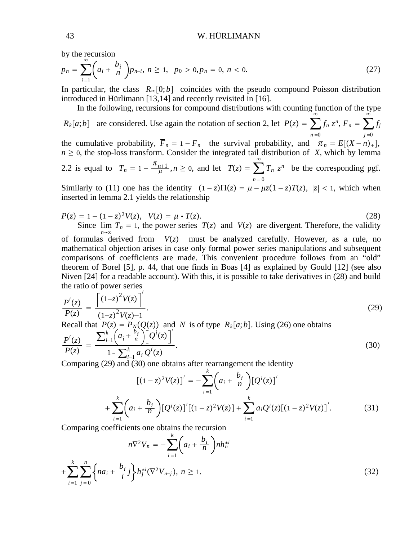by the recursion

$$
p_n = \sum_{i=1}^{\infty} \left( a_i + \frac{b_i}{n} \right) p_{n-i}, \ n \ge 1, \ \ p_0 > 0, \ p_n = 0, \ n < 0. \tag{27}
$$

In particular, the class  $R_{\infty}[0;b]$  coincides with the pseudo compound Poisson distribution introduced in Hürlimann [13,14] and recently revisited in [16].

In the following, recursions for compound distributions with counting function of the type

 $R_k[a;b]$  are considered. Use again the notation of section 2, let  $P(z) = \sum$  $n = 0$  $\infty$  $f_n z^n$ ,  $F_n = \sum$  $j = 0$  $\ddot{\circ}$ *fj*

the cumulative probability,  $\overline{F}_n = 1 - F_n$  the survival probability, and  $\pi_n = E[(X - n)_+]$ ,  $n \geq 0$ , the stop-loss transform. Consider the integrated tail distribution of *X*, which by lemma 2.2 is equal to  $T_n = 1 - \frac{\pi_{n+1}}{\mu}, n \ge 0$ , and let  $T(z) = \sum_{n=1}^{\infty}$  $n = 0$  $\infty$  $T_n$   $z^n$  be the corresponding pgf.

Similarly to (11) one has the identity  $(1 - z)\Pi(z) = \mu - \mu z(1 - z)T(z)$ ,  $|z| < 1$ , which when inserted in lemma 2.1 yields the relationship

$$
P(z) = 1 - (1 - z)^2 V(z), V(z) = \mu \cdot T(z).
$$
 (28)  
Since  $\lim_{n \to \infty} T_n = 1$ , the power series  $T(z)$  and  $V(z)$  are divergent. Therefore, the validity  
of formulas derived from  $V(z)$  must be analyzed carefully. However, as a rule, no

mathematical objection arises in case only formal power series manipulations and subsequent comparisons of coefficients are made. This convenient procedure follows from an "old" theorem of Borel [5], p. 44, that one finds in Boas [4] as explained by Gould [12] (see also Niven [24] for a readable account). With this, it is possible to take derivatives in (28) and build the ratio of power series

$$
\frac{P'(z)}{P(z)} = \frac{\left[ (1-z)^2 V(z) \right]^{\prime}}{(1-z)^2 V(z)-1}.
$$
\nRecall that  $P(z) = P_N(Q(z))$  and N is of type  $R_k[a;b]$ . Using (26) one obtains\n
$$
P'(z) = \sum_{i=1}^{k} \left( a_i + \frac{b_i}{n} \right) \left[ Q^i(z) \right]^{\prime}
$$
\n(29)

$$
\frac{P'(z)}{P(z)} = \frac{\sum_{i=1}^{n} \left( a_i + \frac{1}{n} \right) \left[ Q'(z) \right]}{1 - \sum_{i=1}^{k} a_i Q'(z)}.
$$
\n(30)

Comparing (29) and (30) one obtains after rearrangement the identity

$$
[(1-z)^2V(z)]' = -\sum_{i=1}^k \left(a_i + \frac{b_i}{n}\right) [Q^i(z)]'
$$
  
+
$$
\sum_{i=1}^k \left(a_i + \frac{b_i}{n}\right) [Q^i(z)]' [(1-z)^2V(z)] + \sum_{i=1}^k a_i Q^i(z) [(1-z)^2V(z)]'.
$$
 (31)

Comparing coefficients one obtains the recursion

$$
n\nabla^2 V_n = -\sum_{i=1}^k \left( a_i + \frac{b_i}{n} \right) n h_n^{*i}
$$
  
+ 
$$
\sum_{i=1}^k \sum_{j=0}^n \left\{ n a_i + \frac{b_i}{i} j \right\} h_j^{*i} (\nabla^2 V_{n-j}), \ n \ge 1.
$$
 (32)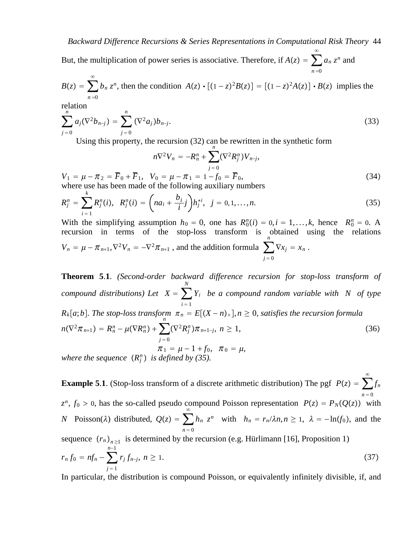But, the multiplication of power series is associative. Therefore, if  $A(z) = \sum$  $n = 0$  $\infty$  $a_n z^n$  and

$$
B(z) = \sum_{n=0}^{\infty} b_n z^n
$$
, then the condition  $A(z) \cdot [(1-z)^2 B(z)] = [(1-z)^2 A(z)] \cdot B(z)$  implies the

relation

$$
\sum_{j=0}^{n} a_j (\nabla^2 b_{n-j}) = \sum_{j=0}^{n} (\nabla^2 a_j) b_{n-j}.
$$
 (33)

Using this property, the recursion  $(32)$  can be rewritten in the synthetic form

$$
n\nabla^2 V_n = -R_n^n + \sum_{j=0}^n (\nabla^2 R_j^n) V_{n-j},
$$
  
\n
$$
V_1 = \mu - \pi_2 = \overline{F}_0 + \overline{F}_1, \quad V_0 = \mu - \pi_1 = 1 - f_0 = \overline{F}_0,
$$
\n(34)

where use has been made of the following auxiliary numbers

$$
R_j^n = \sum_{i=1}^k R_j^n(i), \ \ R_j^n(i) = \left(n a_i + \frac{b_i}{i} j\right) h_j^{*i}, \ \ j = 0, 1, \dots, n. \tag{35}
$$

With the simplifying assumption  $h_0 = 0$ , one has  $R_0^n(i) = 0, i = 1,...,k$ , hence  $R_0^n = 0$ . A recursion in terms of the stop-loss transform is obtained using the relations  $V_n = \mu - \pi_{n+1}, \nabla^2 V_n = -\nabla^2 \pi_{n+1}$ , and the addition formula ∑  $j = 0$  $\nabla x_j = x_n$ .

**Theorem 5**.**1**. *(Second-order backward difference recursion for stop-loss transform of compound distributions)* Let  $X = \sum$  $i = 1$ *N Yi be a compound random variable with N of type R<sub>k</sub>*[a;b]. The stop-loss transform  $\pi_n = E[(X - n)_+]$ ,  $n \ge 0$ , satisfies the recursion formula  $n(\nabla^2 \pi_{n+1}) = R_n^n - \mu(\nabla R_n^n) + \sum$  $j = 0$  $(\nabla^2 R_j^n)\pi_{n+1-j}, n \ge 1,$  (36)  $\pi_1 = \mu - 1 + f_0, \quad \pi_0 = \mu,$ *where the sequence*  $(R_j^n)$  *is defined by (35).* 

**Example 5.1**. (Stop-loss transform of a discrete arithmetic distribution) The pgf  $P(z) = \sum$  $n = 0$  $\infty$ *fn*  $z^n$ ,  $f_0 > 0$ , has the so-called pseudo compound Poisson representation  $P(z) = P_N(Q(z))$  with *N* Poisson( $\lambda$ ) distributed,  $Q(z) = \sum$  $n = 0$  $\infty$  $h_n z^n$  with  $h_n = r_n/\lambda n, n \ge 1, \lambda = -\ln(f_0)$ , and the sequence  $(r_n)_{n\geq 1}$  is determined by the recursion (e.g. Hürlimann [16], Proposition 1)  $r_n f_0 = n f_n - \sum$  $j = 1$ *n*−1 *r<sub>j</sub>*  $f_{n-j}$ , *n* ≥ 1.  $(37)$ 

In particular, the distribution is compound Poisson, or equivalently infinitely divisible, if, and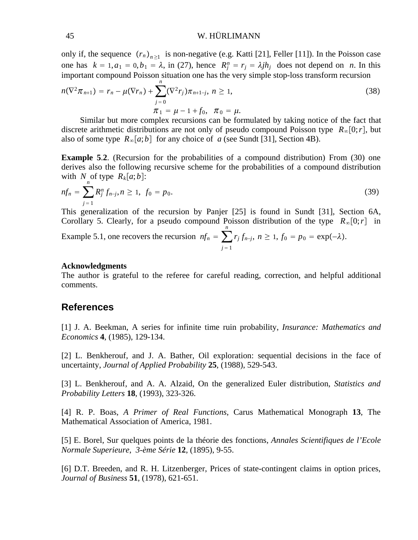#### 45 W. HÜRLIMANN

only if, the sequence  $(r_n)_{n>1}$  is non-negative (e.g. Katti [21], Feller [11]). In the Poisson case one has  $k = 1, a_1 = 0, b_1 = \lambda$ , in (27), hence  $R_j^n = r_j = \lambda j h_j$  does not depend on *n*. In this important compound Poisson situation one has the very simple stop-loss transform recursion *n*

$$
n(\nabla^2 \pi_{n+1}) = r_n - \mu(\nabla r_n) + \sum_{j=0}^n (\nabla^2 r_j) \pi_{n+1-j}, \ n \ge 1,
$$
  

$$
\pi_1 = \mu - 1 + f_0, \ \ \pi_0 = \mu.
$$
 (38)

Similar but more complex recursions can be formulated by taking notice of the fact that discrete arithmetic distributions are not only of pseudo compound Poisson type  $R_{\infty}[0;r]$ , but also of some type  $R_{\infty}[a;b]$  for any choice of *a* (see Sundt [31], Section 4B).

**Example 5.2.** (Recursion for the probabilities of a compound distribution) From (30) one derives also the following recursive scheme for the probabilities of a compound distribution with *N*<sub>n</sub> of type  $R_k[a;b]$ :

$$
nf_n = \sum_{j=1}^n R_j^n f_{n-j}, n \ge 1, \ f_0 = p_0. \tag{39}
$$

This generalization of the recursion by Panjer [25] is found in Sundt [31], Section 6A, Corollary 5. Clearly, for a pseudo compound Poisson distribution of the type  $R_{\infty}[0;r]$  in *n*

Example 5.1, one recovers the recursion 
$$
nf_n = \sum_{j=1} r_j f_{n-j}
$$
,  $n \ge 1$ ,  $f_0 = p_0 = \exp(-\lambda)$ .

#### **Acknowledgments**

The author is grateful to the referee for careful reading, correction, and helpful additional comments.

#### **References**

[1] J. A. Beekman, A series for infinite time ruin probability, *Insurance: Mathematics and Economics* **4**, (1985), 129-134.

[2] L. Benkherouf, and J. A. Bather, Oil exploration: sequential decisions in the face of uncertainty, *Journal of Applied Probability* **25**, (1988), 529-543.

[3] L. Benkherouf, and A. A. Alzaid, On the generalized Euler distribution, *Statistics and Probability Letters* **18**, (1993), 323-326.

[4] R. P. Boas, *A Primer of Real Functions*, Carus Mathematical Monograph **13**, The Mathematical Association of America, 1981.

[5] E. Borel, Sur quelques points de la théorie des fonctions, *Annales Scientifiques de l'Ecole Normale Superieure*, *3-ème Série* **12**, (1895), 9-55.

[6] D.T. Breeden, and R. H. Litzenberger, Prices of state-contingent claims in option prices, *Journal of Business* **51**, (1978), 621-651.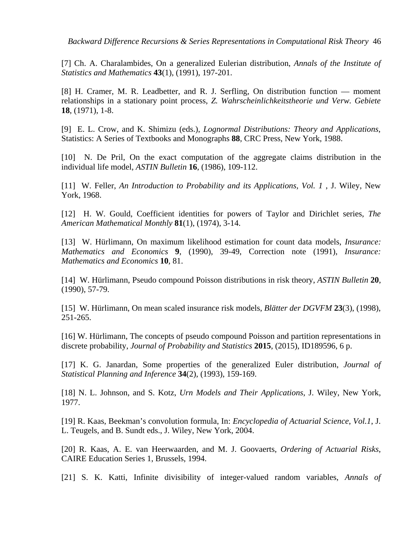*Backward Difference Recursions & Series Representations in Computational Risk Theory* 46

[7] Ch. A. Charalambides, On a generalized Eulerian distribution, *Annals of the Institute of Statistics and Mathematics* **43**(1), (1991), 197-201.

[8] H. Cramer, M. R. Leadbetter, and R. J. Serfling, On distribution function — moment relationships in a stationary point process, *Z. Wahrscheinlichkeitstheorie und Verw. Gebiete* **18**, (1971), 1-8.

[9] E. L. Crow, and K. Shimizu (eds.), *Lognormal Distributions: Theory and Applications*, Statistics: A Series of Textbooks and Monographs **88**, CRC Press, New York, 1988.

[10] N. De Pril, On the exact computation of the aggregate claims distribution in the individual life model, *ASTIN Bulletin* **16**, (1986), 109-112.

[11] W. Feller, *An Introduction to Probability and its Applications, Vol. 1* , J. Wiley, New York, 1968.

[12] H. W. Gould, Coefficient identities for powers of Taylor and Dirichlet series, *The American Mathematical Monthly* **81**(1), (1974), 3-14.

[13] W. Hürlimann, On maximum likelihood estimation for count data models, *Insurance: Mathematics and Economics* **9**, (1990), 39-49, Correction note (1991), *Insurance: Mathematics and Economics* **10**, 81.

[14] W. Hürlimann, Pseudo compound Poisson distributions in risk theory, *ASTIN Bulletin* **20**, (1990), 57-79.

[15] W. Hürlimann, On mean scaled insurance risk models, *Blätter der DGVFM* **23**(3), (1998), 251-265.

[16] W. Hürlimann, The concepts of pseudo compound Poisson and partition representations in discrete probability, *Journal of Probability and Statistics* **2015**, (2015), ID189596, 6 p.

[17] K. G. Janardan, Some properties of the generalized Euler distribution, *Journal of Statistical Planning and Inference* **34**(2), (1993), 159-169.

[18] N. L. Johnson, and S. Kotz, *Urn Models and Their Applications*, J. Wiley, New York, 1977.

[19] R. Kaas, Beekman's convolution formula, In: *Encyclopedia of Actuarial Science*, *Vol.1*, J. L. Teugels, and B. Sundt eds., J. Wiley, New York, 2004.

[20] R. Kaas, A. E. van Heerwaarden, and M. J. Goovaerts, *Ordering of Actuarial Risks*, CAIRE Education Series 1, Brussels, 1994.

[21] S. K. Katti, Infinite divisibility of integer-valued random variables, *Annals of*